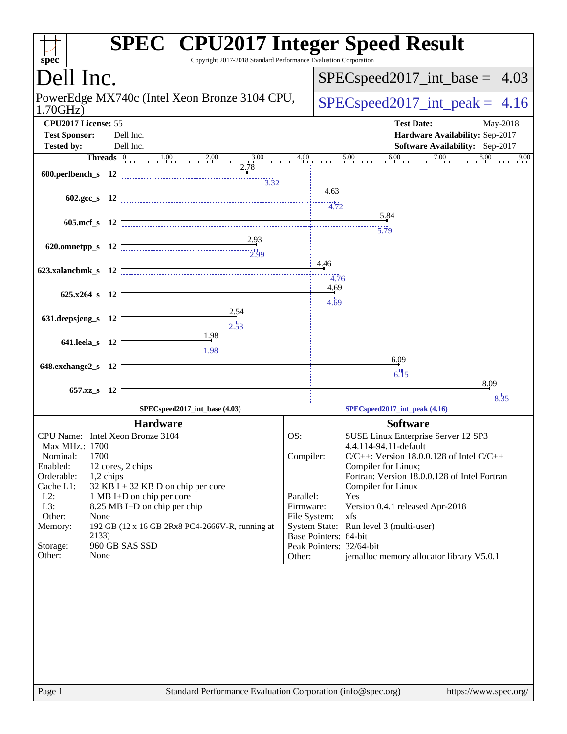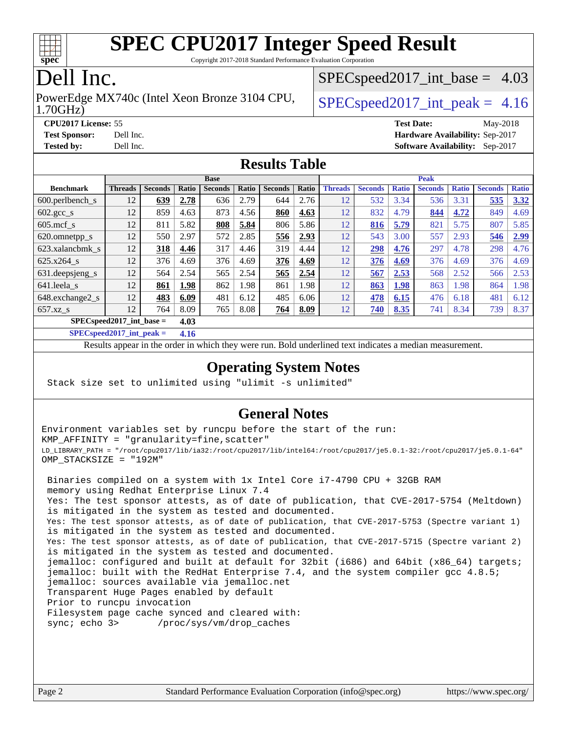

Copyright 2017-2018 Standard Performance Evaluation Corporation

## Dell Inc.

1.70GHz) PowerEdge MX740c (Intel Xeon Bronze 3104 CPU,  $\big|$  [SPECspeed2017\\_int\\_peak =](http://www.spec.org/auto/cpu2017/Docs/result-fields.html#SPECspeed2017intpeak) 4.16

 $SPECspeed2017\_int\_base = 4.03$ 

**[CPU2017 License:](http://www.spec.org/auto/cpu2017/Docs/result-fields.html#CPU2017License)** 55 **[Test Date:](http://www.spec.org/auto/cpu2017/Docs/result-fields.html#TestDate)** May-2018 **[Test Sponsor:](http://www.spec.org/auto/cpu2017/Docs/result-fields.html#TestSponsor)** Dell Inc. **[Hardware Availability:](http://www.spec.org/auto/cpu2017/Docs/result-fields.html#HardwareAvailability)** Sep-2017 **[Tested by:](http://www.spec.org/auto/cpu2017/Docs/result-fields.html#Testedby)** Dell Inc. **[Software Availability:](http://www.spec.org/auto/cpu2017/Docs/result-fields.html#SoftwareAvailability)** Sep-2017

#### **[Results Table](http://www.spec.org/auto/cpu2017/Docs/result-fields.html#ResultsTable)**

|                                    | <b>Base</b>    |                |       |                |       | <b>Peak</b>    |       |                |                |              |                |              |                |              |
|------------------------------------|----------------|----------------|-------|----------------|-------|----------------|-------|----------------|----------------|--------------|----------------|--------------|----------------|--------------|
| <b>Benchmark</b>                   | <b>Threads</b> | <b>Seconds</b> | Ratio | <b>Seconds</b> | Ratio | <b>Seconds</b> | Ratio | <b>Threads</b> | <b>Seconds</b> | <b>Ratio</b> | <b>Seconds</b> | <b>Ratio</b> | <b>Seconds</b> | <b>Ratio</b> |
| 600.perlbench s                    | 12             | 639            | 2.78  | 636            | 2.79  | 644            | 2.76  | 12             | 532            | 3.34         | 536            | 3.31         | 535            | 3.32         |
| $602.\text{sec}\_\text{s}$         | 12             | 859            | 4.63  | 873            | 4.56  | 860            | 4.63  | 12             | 832            | 4.79         | 844            | 4.72         | 849            | 4.69         |
| $605$ .mcf s                       | 12             | 811            | 5.82  | 808            | 5.84  | 806            | 5.86  | 12             | 816            | 5.79         | 821            | 5.75         | 807            | 5.85         |
| 620.omnetpp_s                      | 12             | 550            | 2.97  | 572            | 2.85  | 556            | 2.93  | 12             | 543            | 3.00         | 557            | 2.93         | 546            | 2.99         |
| 623.xalancbmk s                    | 12             | 318            | 4.46  | 317            | 4.46  | 319            | 4.44  | 12             | <u>298</u>     | 4.76         | 297            | 4.78         | 298            | 4.76         |
| $625.x264$ s                       | 12             | 376            | 4.69  | 376            | 4.69  | 376            | 4.69  | 12             | 376            | 4.69         | 376            | 4.69         | 376            | 4.69         |
| 631.deepsjeng_s                    | 12             | 564            | 2.54  | 565            | 2.54  | 565            | 2.54  | 12             | 567            | 2.53         | 568            | 2.52         | 566            | 2.53         |
| 641.leela s                        | 12             | 861            | 1.98  | 862            | 1.98  | 861            | 1.98  | 12             | 863            | 1.98         | 863            | 1.98         | 864            | 1.98         |
| 648.exchange2_s                    | 12             | 483            | 6.09  | 481            | 6.12  | 485            | 6.06  | 12             | 478            | 6.15         | 476            | 6.18         | 481            | 6.12         |
| $657.xz$ s                         | 12             | 764            | 8.09  | 765            | 8.08  | 764            | 8.09  | 12             | 740            | 8.35         | 741            | 8.34         | 739            | 8.37         |
| $SPECspeed2017$ int base =<br>4.03 |                |                |       |                |       |                |       |                |                |              |                |              |                |              |

**[SPECspeed2017\\_int\\_peak =](http://www.spec.org/auto/cpu2017/Docs/result-fields.html#SPECspeed2017intpeak) 4.16**

Results appear in the [order in which they were run.](http://www.spec.org/auto/cpu2017/Docs/result-fields.html#RunOrder) Bold underlined text [indicates a median measurement.](http://www.spec.org/auto/cpu2017/Docs/result-fields.html#Median)

#### **[Operating System Notes](http://www.spec.org/auto/cpu2017/Docs/result-fields.html#OperatingSystemNotes)**

Stack size set to unlimited using "ulimit -s unlimited"

#### **[General Notes](http://www.spec.org/auto/cpu2017/Docs/result-fields.html#GeneralNotes)**

Environment variables set by runcpu before the start of the run: KMP\_AFFINITY = "granularity=fine,scatter" LD\_LIBRARY\_PATH = "/root/cpu2017/lib/ia32:/root/cpu2017/lib/intel64:/root/cpu2017/je5.0.1-32:/root/cpu2017/je5.0.1-64" OMP\_STACKSIZE = "192M" Binaries compiled on a system with 1x Intel Core i7-4790 CPU + 32GB RAM memory using Redhat Enterprise Linux 7.4 Yes: The test sponsor attests, as of date of publication, that CVE-2017-5754 (Meltdown) is mitigated in the system as tested and documented. Yes: The test sponsor attests, as of date of publication, that CVE-2017-5753 (Spectre variant 1) is mitigated in the system as tested and documented. Yes: The test sponsor attests, as of date of publication, that CVE-2017-5715 (Spectre variant 2) is mitigated in the system as tested and documented. jemalloc: configured and built at default for 32bit (i686) and 64bit (x86\_64) targets; jemalloc: built with the RedHat Enterprise 7.4, and the system compiler gcc 4.8.5; jemalloc: sources available via jemalloc.net Transparent Huge Pages enabled by default Prior to runcpu invocation Filesystem page cache synced and cleared with: sync; echo 3> /proc/sys/vm/drop\_caches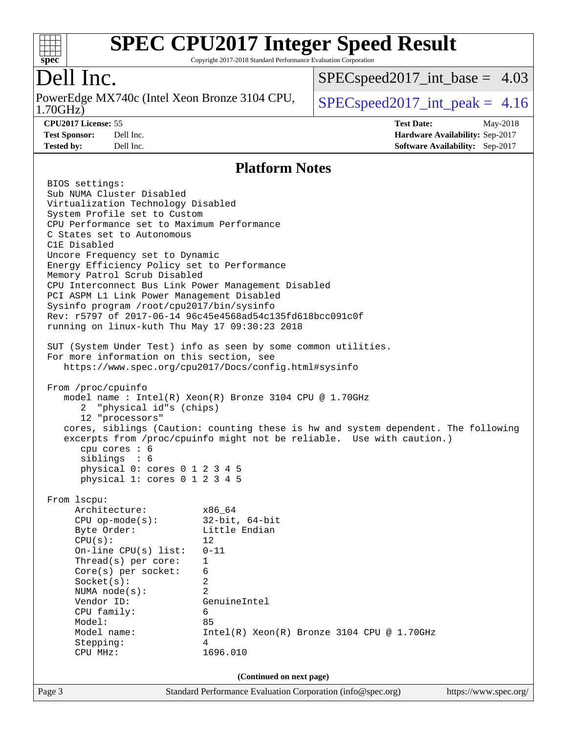

Copyright 2017-2018 Standard Performance Evaluation Corporation

## Dell Inc.

1.70GHz) PowerEdge MX740c (Intel Xeon Bronze 3104 CPU,  $\big|$  [SPECspeed2017\\_int\\_peak =](http://www.spec.org/auto/cpu2017/Docs/result-fields.html#SPECspeed2017intpeak) 4.16

[SPECspeed2017\\_int\\_base =](http://www.spec.org/auto/cpu2017/Docs/result-fields.html#SPECspeed2017intbase) 4.03

**[CPU2017 License:](http://www.spec.org/auto/cpu2017/Docs/result-fields.html#CPU2017License)** 55 **[Test Date:](http://www.spec.org/auto/cpu2017/Docs/result-fields.html#TestDate)** May-2018 **[Test Sponsor:](http://www.spec.org/auto/cpu2017/Docs/result-fields.html#TestSponsor)** Dell Inc. **[Hardware Availability:](http://www.spec.org/auto/cpu2017/Docs/result-fields.html#HardwareAvailability)** Sep-2017 **[Tested by:](http://www.spec.org/auto/cpu2017/Docs/result-fields.html#Testedby)** Dell Inc. **[Software Availability:](http://www.spec.org/auto/cpu2017/Docs/result-fields.html#SoftwareAvailability)** Sep-2017

#### **[Platform Notes](http://www.spec.org/auto/cpu2017/Docs/result-fields.html#PlatformNotes)**

| Page 3                                                                                          | Standard Performance Evaluation Corporation (info@spec.org)                         | https://www.spec.org/ |  |  |  |  |
|-------------------------------------------------------------------------------------------------|-------------------------------------------------------------------------------------|-----------------------|--|--|--|--|
|                                                                                                 | (Continued on next page)                                                            |                       |  |  |  |  |
| Stepping:<br>CPU MHz:                                                                           | 4<br>1696.010                                                                       |                       |  |  |  |  |
| Model name:                                                                                     | $Intel(R) Xeon(R) Bronze 3104 CPU @ 1.70GHz$                                        |                       |  |  |  |  |
| Model:                                                                                          | 85                                                                                  |                       |  |  |  |  |
| CPU family:                                                                                     | 6                                                                                   |                       |  |  |  |  |
| Vendor ID:                                                                                      | GenuineIntel                                                                        |                       |  |  |  |  |
| NUMA node(s):                                                                                   |                                                                                     |                       |  |  |  |  |
| Socket(s):                                                                                      | 2                                                                                   |                       |  |  |  |  |
| $Core(s)$ per socket:                                                                           | 6                                                                                   |                       |  |  |  |  |
| On-line $CPU(s)$ list:<br>Thread( $s$ ) per core:                                               | $\mathbf{1}$                                                                        |                       |  |  |  |  |
| CPU(s):                                                                                         | 12<br>$0 - 11$                                                                      |                       |  |  |  |  |
| Byte Order:                                                                                     | Little Endian                                                                       |                       |  |  |  |  |
| CPU op-mode(s): $32-bit, 64-bit$                                                                |                                                                                     |                       |  |  |  |  |
| Architecture:<br>x86 64                                                                         |                                                                                     |                       |  |  |  |  |
| From 1scpu:                                                                                     |                                                                                     |                       |  |  |  |  |
| cpu cores : 6<br>siblings : 6<br>physical 0: cores 0 1 2 3 4 5<br>physical 1: cores 0 1 2 3 4 5 |                                                                                     |                       |  |  |  |  |
|                                                                                                 | excerpts from /proc/cpuinfo might not be reliable. Use with caution.)               |                       |  |  |  |  |
|                                                                                                 | cores, siblings (Caution: counting these is hw and system dependent. The following  |                       |  |  |  |  |
| 2 "physical id"s (chips)<br>12 "processors"                                                     |                                                                                     |                       |  |  |  |  |
|                                                                                                 | model name : Intel(R) Xeon(R) Bronze 3104 CPU @ 1.70GHz                             |                       |  |  |  |  |
| From /proc/cpuinfo                                                                              |                                                                                     |                       |  |  |  |  |
|                                                                                                 | https://www.spec.org/cpu2017/Docs/config.html#sysinfo                               |                       |  |  |  |  |
| For more information on this section, see                                                       |                                                                                     |                       |  |  |  |  |
|                                                                                                 | SUT (System Under Test) info as seen by some common utilities.                      |                       |  |  |  |  |
| running on linux-kuth Thu May 17 09:30:23 2018                                                  |                                                                                     |                       |  |  |  |  |
|                                                                                                 | Rev: r5797 of 2017-06-14 96c45e4568ad54c135fd618bcc091c0f                           |                       |  |  |  |  |
| Sysinfo program /root/cpu2017/bin/sysinfo                                                       |                                                                                     |                       |  |  |  |  |
|                                                                                                 | PCI ASPM L1 Link Power Management Disabled                                          |                       |  |  |  |  |
|                                                                                                 | Memory Patrol Scrub Disabled<br>CPU Interconnect Bus Link Power Management Disabled |                       |  |  |  |  |
|                                                                                                 | Energy Efficiency Policy set to Performance                                         |                       |  |  |  |  |
|                                                                                                 | Uncore Frequency set to Dynamic                                                     |                       |  |  |  |  |
| C1E Disabled                                                                                    |                                                                                     |                       |  |  |  |  |
| C States set to Autonomous                                                                      |                                                                                     |                       |  |  |  |  |
| System Profile set to Custom<br>CPU Performance set to Maximum Performance                      |                                                                                     |                       |  |  |  |  |
| Virtualization Technology Disabled                                                              |                                                                                     |                       |  |  |  |  |
| Sub NUMA Cluster Disabled                                                                       |                                                                                     |                       |  |  |  |  |
| BIOS settings:                                                                                  |                                                                                     |                       |  |  |  |  |
|                                                                                                 |                                                                                     |                       |  |  |  |  |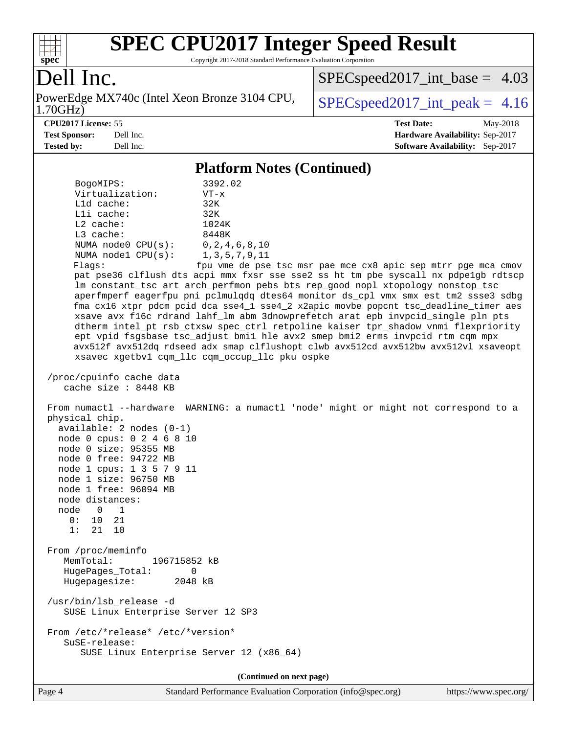

Copyright 2017-2018 Standard Performance Evaluation Corporation

## Dell Inc.

1.70GHz) PowerEdge MX740c (Intel Xeon Bronze 3104 CPU,  $SPEC speed2017\_int\_peak = 4.16$ 

[SPECspeed2017\\_int\\_base =](http://www.spec.org/auto/cpu2017/Docs/result-fields.html#SPECspeed2017intbase) 4.03

#### **[CPU2017 License:](http://www.spec.org/auto/cpu2017/Docs/result-fields.html#CPU2017License)** 55 **[Test Date:](http://www.spec.org/auto/cpu2017/Docs/result-fields.html#TestDate)** May-2018

**[Test Sponsor:](http://www.spec.org/auto/cpu2017/Docs/result-fields.html#TestSponsor)** Dell Inc. **[Hardware Availability:](http://www.spec.org/auto/cpu2017/Docs/result-fields.html#HardwareAvailability)** Sep-2017 **[Tested by:](http://www.spec.org/auto/cpu2017/Docs/result-fields.html#Testedby)** Dell Inc. **[Software Availability:](http://www.spec.org/auto/cpu2017/Docs/result-fields.html#SoftwareAvailability)** Sep-2017

#### **[Platform Notes \(Continued\)](http://www.spec.org/auto/cpu2017/Docs/result-fields.html#PlatformNotes)**

| BogoMIPS:<br>Virtualization:<br>Lld cache:<br>Lli cache:<br>L2 cache:<br>L3 cache:<br>NUMA $node0$ $CPU(s):$<br>NUMA $node1$ $CPU(s):$<br>Flags:                                                                                                                                     | 3392.02<br>$VT - x$<br>32K<br>32K<br>1024K<br>8448K<br>0, 2, 4, 6, 8, 10<br>1, 3, 5, 7, 9, 11<br>fpu vme de pse tsc msr pae mce cx8 apic sep mtrr pge mca cmov<br>pat pse36 clflush dts acpi mmx fxsr sse sse2 ss ht tm pbe syscall nx pdpe1gb rdtscp<br>lm constant_tsc art arch_perfmon pebs bts rep_good nopl xtopology nonstop_tsc<br>aperfmperf eagerfpu pni pclmulqdq dtes64 monitor ds_cpl vmx smx est tm2 ssse3 sdbg<br>fma cx16 xtpr pdcm pcid dca sse4_1 sse4_2 x2apic movbe popcnt tsc_deadline_timer aes<br>xsave avx f16c rdrand lahf_lm abm 3dnowprefetch arat epb invpcid_single pln pts<br>dtherm intel_pt rsb_ctxsw spec_ctrl retpoline kaiser tpr_shadow vnmi flexpriority<br>ept vpid fsgsbase tsc_adjust bmil hle avx2 smep bmi2 erms invpcid rtm cqm mpx<br>avx512f avx512dq rdseed adx smap clflushopt clwb avx512cd avx512bw avx512vl xsaveopt |
|--------------------------------------------------------------------------------------------------------------------------------------------------------------------------------------------------------------------------------------------------------------------------------------|-----------------------------------------------------------------------------------------------------------------------------------------------------------------------------------------------------------------------------------------------------------------------------------------------------------------------------------------------------------------------------------------------------------------------------------------------------------------------------------------------------------------------------------------------------------------------------------------------------------------------------------------------------------------------------------------------------------------------------------------------------------------------------------------------------------------------------------------------------------------------|
|                                                                                                                                                                                                                                                                                      | xsavec xgetbvl cqm_llc cqm_occup_llc pku ospke                                                                                                                                                                                                                                                                                                                                                                                                                                                                                                                                                                                                                                                                                                                                                                                                                        |
| /proc/cpuinfo cache data<br>cache size: 8448 KB                                                                                                                                                                                                                                      |                                                                                                                                                                                                                                                                                                                                                                                                                                                                                                                                                                                                                                                                                                                                                                                                                                                                       |
| physical chip.<br>$available: 2 nodes (0-1)$<br>node 0 cpus: 0 2 4 6 8 10<br>node 0 size: 95355 MB<br>node 0 free: 94722 MB<br>node 1 cpus: 1 3 5 7 9 11<br>node 1 size: 96750 MB<br>node 1 free: 96094 MB<br>node distances:<br>node 0<br>$\overline{1}$<br>0: 10 21<br>1:<br>21 10 | From numactl --hardware WARNING: a numactl 'node' might or might not correspond to a                                                                                                                                                                                                                                                                                                                                                                                                                                                                                                                                                                                                                                                                                                                                                                                  |
| From /proc/meminfo<br>MemTotal:<br>196715852 kB<br>HugePages_Total:<br>0<br>Hugepagesize:<br>2048 kB                                                                                                                                                                                 |                                                                                                                                                                                                                                                                                                                                                                                                                                                                                                                                                                                                                                                                                                                                                                                                                                                                       |
| /usr/bin/lsb_release -d<br>SUSE Linux Enterprise Server 12 SP3                                                                                                                                                                                                                       |                                                                                                                                                                                                                                                                                                                                                                                                                                                                                                                                                                                                                                                                                                                                                                                                                                                                       |
| From /etc/*release* /etc/*version*<br>SuSE-release:<br>SUSE Linux Enterprise Server 12 (x86_64)                                                                                                                                                                                      |                                                                                                                                                                                                                                                                                                                                                                                                                                                                                                                                                                                                                                                                                                                                                                                                                                                                       |
|                                                                                                                                                                                                                                                                                      |                                                                                                                                                                                                                                                                                                                                                                                                                                                                                                                                                                                                                                                                                                                                                                                                                                                                       |

**(Continued on next page)**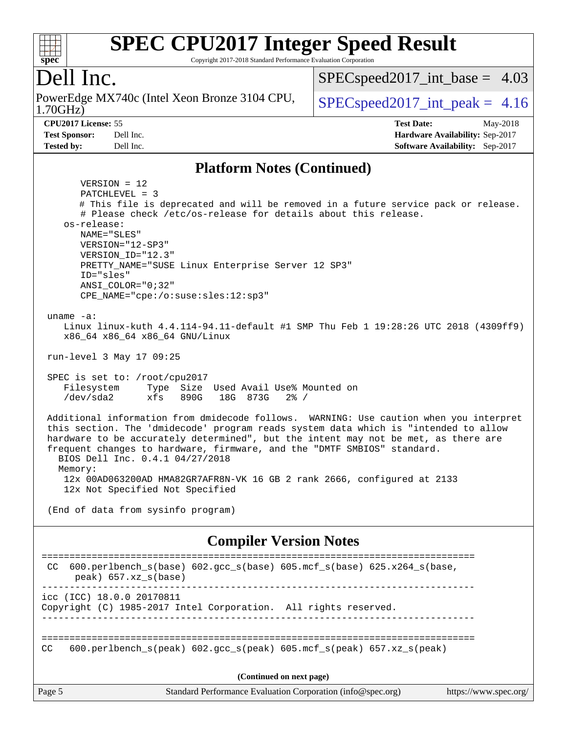#### $+\ +$ **[spec](http://www.spec.org/)**

# **[SPEC CPU2017 Integer Speed Result](http://www.spec.org/auto/cpu2017/Docs/result-fields.html#SPECCPU2017IntegerSpeedResult)**

Copyright 2017-2018 Standard Performance Evaluation Corporation

## Dell Inc.

1.70GHz) PowerEdge MX740c (Intel Xeon Bronze 3104 CPU,  $\big|$  [SPECspeed2017\\_int\\_peak =](http://www.spec.org/auto/cpu2017/Docs/result-fields.html#SPECspeed2017intpeak) 4.16

 $SPECspeed2017\_int\_base = 4.03$ 

**[CPU2017 License:](http://www.spec.org/auto/cpu2017/Docs/result-fields.html#CPU2017License)** 55 **[Test Date:](http://www.spec.org/auto/cpu2017/Docs/result-fields.html#TestDate)** May-2018 **[Test Sponsor:](http://www.spec.org/auto/cpu2017/Docs/result-fields.html#TestSponsor)** Dell Inc. **[Hardware Availability:](http://www.spec.org/auto/cpu2017/Docs/result-fields.html#HardwareAvailability)** Sep-2017 **[Tested by:](http://www.spec.org/auto/cpu2017/Docs/result-fields.html#Testedby)** Dell Inc. **[Software Availability:](http://www.spec.org/auto/cpu2017/Docs/result-fields.html#SoftwareAvailability)** Sep-2017

#### **[Platform Notes \(Continued\)](http://www.spec.org/auto/cpu2017/Docs/result-fields.html#PlatformNotes)**

 VERSION = 12 PATCHLEVEL = 3 # This file is deprecated and will be removed in a future service pack or release. # Please check /etc/os-release for details about this release. os-release: NAME="SLES" VERSION="12-SP3" VERSION\_ID="12.3" PRETTY\_NAME="SUSE Linux Enterprise Server 12 SP3" ID="sles" ANSI\_COLOR="0;32" CPE\_NAME="cpe:/o:suse:sles:12:sp3" uname -a: Linux linux-kuth 4.4.114-94.11-default #1 SMP Thu Feb 1 19:28:26 UTC 2018 (4309ff9) x86\_64 x86\_64 x86\_64 GNU/Linux run-level 3 May 17 09:25 SPEC is set to: /root/cpu2017 Filesystem Type Size Used Avail Use% Mounted on /dev/sda2 xfs 890G 18G 873G 2% / Additional information from dmidecode follows. WARNING: Use caution when you interpret this section. The 'dmidecode' program reads system data which is "intended to allow hardware to be accurately determined", but the intent may not be met, as there are frequent changes to hardware, firmware, and the "DMTF SMBIOS" standard. BIOS Dell Inc. 0.4.1 04/27/2018 Memory: 12x 00AD063200AD HMA82GR7AFR8N-VK 16 GB 2 rank 2666, configured at 2133 12x Not Specified Not Specified (End of data from sysinfo program) **[Compiler Version Notes](http://www.spec.org/auto/cpu2017/Docs/result-fields.html#CompilerVersionNotes)** ============================================================================== CC 600.perlbench\_s(base) 602.gcc\_s(base) 605.mcf\_s(base) 625.x264\_s(base, peak) 657.xz\_s(base) ----------------------------------------------------------------------------- icc (ICC) 18.0.0 20170811 Copyright (C) 1985-2017 Intel Corporation. All rights reserved. ------------------------------------------------------------------------------ ============================================================================== CC 600.perlbench s(peak) 602.gcc s(peak) 605.mcf s(peak) 657.xz s(peak)

**(Continued on next page)**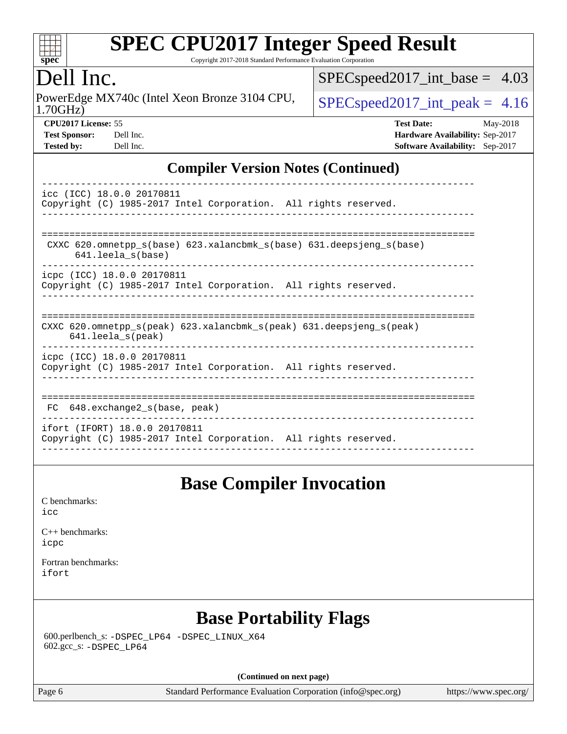

Copyright 2017-2018 Standard Performance Evaluation Corporation

#### ell Inc.

1.70GHz) PowerEdge MX740c (Intel Xeon Bronze 3104 CPU,  $SPEC speed2017\_int\_peak = 4.16$ 

[SPECspeed2017\\_int\\_base =](http://www.spec.org/auto/cpu2017/Docs/result-fields.html#SPECspeed2017intbase) 4.03

| <b>Test Sponsor:</b> | Dell Inc |
|----------------------|----------|
| Tested by:           | Dell Inc |

**[CPU2017 License:](http://www.spec.org/auto/cpu2017/Docs/result-fields.html#CPU2017License)** 55 **[Test Date:](http://www.spec.org/auto/cpu2017/Docs/result-fields.html#TestDate)** May-2018 **[Hardware Availability:](http://www.spec.org/auto/cpu2017/Docs/result-fields.html#HardwareAvailability)** Sep-2017 **[Software Availability:](http://www.spec.org/auto/cpu2017/Docs/result-fields.html#SoftwareAvailability)** Sep-2017

#### **[Compiler Version Notes \(Continued\)](http://www.spec.org/auto/cpu2017/Docs/result-fields.html#CompilerVersionNotes)**

| icc (ICC) 18.0.0 20170811<br>Copyright (C) 1985-2017 Intel Corporation. All rights reserved.                         |  |  |  |  |
|----------------------------------------------------------------------------------------------------------------------|--|--|--|--|
| CXXC 620.omnetpp $s(base)$ 623.xalancbmk $s(base)$ 631.deepsjeng $s(base)$<br>$641.$ leela $s$ (base)                |  |  |  |  |
| icpc (ICC) 18.0.0 20170811<br>Copyright (C) 1985-2017 Intel Corporation. All rights reserved.                        |  |  |  |  |
| CXXC 620.omnetpp $s(\text{peak})$ 623.xalancbmk $s(\text{peak})$ 631.deepsjeng $s(\text{peak})$<br>641.leela_s(peak) |  |  |  |  |
| icpc (ICC) 18.0.0 20170811<br>Copyright (C) 1985-2017 Intel Corporation. All rights reserved.                        |  |  |  |  |
| FC 648. exchange2 s(base, peak)                                                                                      |  |  |  |  |
| ifort (IFORT) 18.0.0 20170811<br>Copyright (C) 1985-2017 Intel Corporation. All rights reserved.                     |  |  |  |  |

#### **[Base Compiler Invocation](http://www.spec.org/auto/cpu2017/Docs/result-fields.html#BaseCompilerInvocation)**

[C benchmarks](http://www.spec.org/auto/cpu2017/Docs/result-fields.html#Cbenchmarks): [icc](http://www.spec.org/cpu2017/results/res2018q3/cpu2017-20180820-08590.flags.html#user_CCbase_intel_icc_18.0_66fc1ee009f7361af1fbd72ca7dcefbb700085f36577c54f309893dd4ec40d12360134090235512931783d35fd58c0460139e722d5067c5574d8eaf2b3e37e92)

[C++ benchmarks:](http://www.spec.org/auto/cpu2017/Docs/result-fields.html#CXXbenchmarks) [icpc](http://www.spec.org/cpu2017/results/res2018q3/cpu2017-20180820-08590.flags.html#user_CXXbase_intel_icpc_18.0_c510b6838c7f56d33e37e94d029a35b4a7bccf4766a728ee175e80a419847e808290a9b78be685c44ab727ea267ec2f070ec5dc83b407c0218cded6866a35d07)

[Fortran benchmarks](http://www.spec.org/auto/cpu2017/Docs/result-fields.html#Fortranbenchmarks): [ifort](http://www.spec.org/cpu2017/results/res2018q3/cpu2017-20180820-08590.flags.html#user_FCbase_intel_ifort_18.0_8111460550e3ca792625aed983ce982f94888b8b503583aa7ba2b8303487b4d8a21a13e7191a45c5fd58ff318f48f9492884d4413fa793fd88dd292cad7027ca)

## **[Base Portability Flags](http://www.spec.org/auto/cpu2017/Docs/result-fields.html#BasePortabilityFlags)**

 600.perlbench\_s: [-DSPEC\\_LP64](http://www.spec.org/cpu2017/results/res2018q3/cpu2017-20180820-08590.flags.html#b600.perlbench_s_basePORTABILITY_DSPEC_LP64) [-DSPEC\\_LINUX\\_X64](http://www.spec.org/cpu2017/results/res2018q3/cpu2017-20180820-08590.flags.html#b600.perlbench_s_baseCPORTABILITY_DSPEC_LINUX_X64) 602.gcc\_s: [-DSPEC\\_LP64](http://www.spec.org/cpu2017/results/res2018q3/cpu2017-20180820-08590.flags.html#suite_basePORTABILITY602_gcc_s_DSPEC_LP64)

**(Continued on next page)**

Page 6 Standard Performance Evaluation Corporation [\(info@spec.org\)](mailto:info@spec.org) <https://www.spec.org/>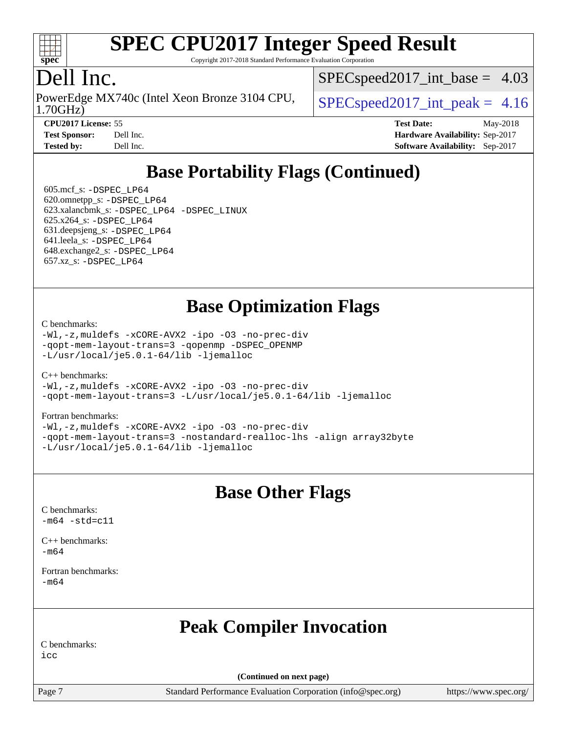

Copyright 2017-2018 Standard Performance Evaluation Corporation

#### Dell Inc.

1.70GHz) PowerEdge MX740c (Intel Xeon Bronze 3104 CPU,  $\big|$  [SPECspeed2017\\_int\\_peak =](http://www.spec.org/auto/cpu2017/Docs/result-fields.html#SPECspeed2017intpeak) 4.16

 $SPECspeed2017\_int\_base = 4.03$ 

**[CPU2017 License:](http://www.spec.org/auto/cpu2017/Docs/result-fields.html#CPU2017License)** 55 **[Test Date:](http://www.spec.org/auto/cpu2017/Docs/result-fields.html#TestDate)** May-2018 **[Test Sponsor:](http://www.spec.org/auto/cpu2017/Docs/result-fields.html#TestSponsor)** Dell Inc. **[Hardware Availability:](http://www.spec.org/auto/cpu2017/Docs/result-fields.html#HardwareAvailability)** Sep-2017 **[Tested by:](http://www.spec.org/auto/cpu2017/Docs/result-fields.html#Testedby)** Dell Inc. **[Software Availability:](http://www.spec.org/auto/cpu2017/Docs/result-fields.html#SoftwareAvailability)** Sep-2017

## **[Base Portability Flags \(Continued\)](http://www.spec.org/auto/cpu2017/Docs/result-fields.html#BasePortabilityFlags)**

 605.mcf\_s: [-DSPEC\\_LP64](http://www.spec.org/cpu2017/results/res2018q3/cpu2017-20180820-08590.flags.html#suite_basePORTABILITY605_mcf_s_DSPEC_LP64) 620.omnetpp\_s: [-DSPEC\\_LP64](http://www.spec.org/cpu2017/results/res2018q3/cpu2017-20180820-08590.flags.html#suite_basePORTABILITY620_omnetpp_s_DSPEC_LP64) 623.xalancbmk\_s: [-DSPEC\\_LP64](http://www.spec.org/cpu2017/results/res2018q3/cpu2017-20180820-08590.flags.html#suite_basePORTABILITY623_xalancbmk_s_DSPEC_LP64) [-DSPEC\\_LINUX](http://www.spec.org/cpu2017/results/res2018q3/cpu2017-20180820-08590.flags.html#b623.xalancbmk_s_baseCXXPORTABILITY_DSPEC_LINUX) 625.x264\_s: [-DSPEC\\_LP64](http://www.spec.org/cpu2017/results/res2018q3/cpu2017-20180820-08590.flags.html#suite_basePORTABILITY625_x264_s_DSPEC_LP64) 631.deepsjeng\_s: [-DSPEC\\_LP64](http://www.spec.org/cpu2017/results/res2018q3/cpu2017-20180820-08590.flags.html#suite_basePORTABILITY631_deepsjeng_s_DSPEC_LP64) 641.leela\_s: [-DSPEC\\_LP64](http://www.spec.org/cpu2017/results/res2018q3/cpu2017-20180820-08590.flags.html#suite_basePORTABILITY641_leela_s_DSPEC_LP64) 648.exchange2\_s: [-DSPEC\\_LP64](http://www.spec.org/cpu2017/results/res2018q3/cpu2017-20180820-08590.flags.html#suite_basePORTABILITY648_exchange2_s_DSPEC_LP64) 657.xz\_s: [-DSPEC\\_LP64](http://www.spec.org/cpu2017/results/res2018q3/cpu2017-20180820-08590.flags.html#suite_basePORTABILITY657_xz_s_DSPEC_LP64)

#### **[Base Optimization Flags](http://www.spec.org/auto/cpu2017/Docs/result-fields.html#BaseOptimizationFlags)**

[C benchmarks](http://www.spec.org/auto/cpu2017/Docs/result-fields.html#Cbenchmarks):

[-Wl,-z,muldefs](http://www.spec.org/cpu2017/results/res2018q3/cpu2017-20180820-08590.flags.html#user_CCbase_link_force_multiple1_b4cbdb97b34bdee9ceefcfe54f4c8ea74255f0b02a4b23e853cdb0e18eb4525ac79b5a88067c842dd0ee6996c24547a27a4b99331201badda8798ef8a743f577) [-xCORE-AVX2](http://www.spec.org/cpu2017/results/res2018q3/cpu2017-20180820-08590.flags.html#user_CCbase_f-xCORE-AVX2) [-ipo](http://www.spec.org/cpu2017/results/res2018q3/cpu2017-20180820-08590.flags.html#user_CCbase_f-ipo) [-O3](http://www.spec.org/cpu2017/results/res2018q3/cpu2017-20180820-08590.flags.html#user_CCbase_f-O3) [-no-prec-div](http://www.spec.org/cpu2017/results/res2018q3/cpu2017-20180820-08590.flags.html#user_CCbase_f-no-prec-div) [-qopt-mem-layout-trans=3](http://www.spec.org/cpu2017/results/res2018q3/cpu2017-20180820-08590.flags.html#user_CCbase_f-qopt-mem-layout-trans_de80db37974c74b1f0e20d883f0b675c88c3b01e9d123adea9b28688d64333345fb62bc4a798493513fdb68f60282f9a726aa07f478b2f7113531aecce732043) [-qopenmp](http://www.spec.org/cpu2017/results/res2018q3/cpu2017-20180820-08590.flags.html#user_CCbase_qopenmp_16be0c44f24f464004c6784a7acb94aca937f053568ce72f94b139a11c7c168634a55f6653758ddd83bcf7b8463e8028bb0b48b77bcddc6b78d5d95bb1df2967) [-DSPEC\\_OPENMP](http://www.spec.org/cpu2017/results/res2018q3/cpu2017-20180820-08590.flags.html#suite_CCbase_DSPEC_OPENMP) [-L/usr/local/je5.0.1-64/lib](http://www.spec.org/cpu2017/results/res2018q3/cpu2017-20180820-08590.flags.html#user_CCbase_jemalloc_link_path64_4b10a636b7bce113509b17f3bd0d6226c5fb2346b9178c2d0232c14f04ab830f976640479e5c33dc2bcbbdad86ecfb6634cbbd4418746f06f368b512fced5394) [-ljemalloc](http://www.spec.org/cpu2017/results/res2018q3/cpu2017-20180820-08590.flags.html#user_CCbase_jemalloc_link_lib_d1249b907c500fa1c0672f44f562e3d0f79738ae9e3c4a9c376d49f265a04b9c99b167ecedbf6711b3085be911c67ff61f150a17b3472be731631ba4d0471706)

 $C_{++}$  benchmarks: [-Wl,-z,muldefs](http://www.spec.org/cpu2017/results/res2018q3/cpu2017-20180820-08590.flags.html#user_CXXbase_link_force_multiple1_b4cbdb97b34bdee9ceefcfe54f4c8ea74255f0b02a4b23e853cdb0e18eb4525ac79b5a88067c842dd0ee6996c24547a27a4b99331201badda8798ef8a743f577) [-xCORE-AVX2](http://www.spec.org/cpu2017/results/res2018q3/cpu2017-20180820-08590.flags.html#user_CXXbase_f-xCORE-AVX2) [-ipo](http://www.spec.org/cpu2017/results/res2018q3/cpu2017-20180820-08590.flags.html#user_CXXbase_f-ipo) [-O3](http://www.spec.org/cpu2017/results/res2018q3/cpu2017-20180820-08590.flags.html#user_CXXbase_f-O3) [-no-prec-div](http://www.spec.org/cpu2017/results/res2018q3/cpu2017-20180820-08590.flags.html#user_CXXbase_f-no-prec-div) [-qopt-mem-layout-trans=3](http://www.spec.org/cpu2017/results/res2018q3/cpu2017-20180820-08590.flags.html#user_CXXbase_f-qopt-mem-layout-trans_de80db37974c74b1f0e20d883f0b675c88c3b01e9d123adea9b28688d64333345fb62bc4a798493513fdb68f60282f9a726aa07f478b2f7113531aecce732043) [-L/usr/local/je5.0.1-64/lib](http://www.spec.org/cpu2017/results/res2018q3/cpu2017-20180820-08590.flags.html#user_CXXbase_jemalloc_link_path64_4b10a636b7bce113509b17f3bd0d6226c5fb2346b9178c2d0232c14f04ab830f976640479e5c33dc2bcbbdad86ecfb6634cbbd4418746f06f368b512fced5394) [-ljemalloc](http://www.spec.org/cpu2017/results/res2018q3/cpu2017-20180820-08590.flags.html#user_CXXbase_jemalloc_link_lib_d1249b907c500fa1c0672f44f562e3d0f79738ae9e3c4a9c376d49f265a04b9c99b167ecedbf6711b3085be911c67ff61f150a17b3472be731631ba4d0471706)

[Fortran benchmarks](http://www.spec.org/auto/cpu2017/Docs/result-fields.html#Fortranbenchmarks):

[-Wl,-z,muldefs](http://www.spec.org/cpu2017/results/res2018q3/cpu2017-20180820-08590.flags.html#user_FCbase_link_force_multiple1_b4cbdb97b34bdee9ceefcfe54f4c8ea74255f0b02a4b23e853cdb0e18eb4525ac79b5a88067c842dd0ee6996c24547a27a4b99331201badda8798ef8a743f577) [-xCORE-AVX2](http://www.spec.org/cpu2017/results/res2018q3/cpu2017-20180820-08590.flags.html#user_FCbase_f-xCORE-AVX2) [-ipo](http://www.spec.org/cpu2017/results/res2018q3/cpu2017-20180820-08590.flags.html#user_FCbase_f-ipo) [-O3](http://www.spec.org/cpu2017/results/res2018q3/cpu2017-20180820-08590.flags.html#user_FCbase_f-O3) [-no-prec-div](http://www.spec.org/cpu2017/results/res2018q3/cpu2017-20180820-08590.flags.html#user_FCbase_f-no-prec-div) [-qopt-mem-layout-trans=3](http://www.spec.org/cpu2017/results/res2018q3/cpu2017-20180820-08590.flags.html#user_FCbase_f-qopt-mem-layout-trans_de80db37974c74b1f0e20d883f0b675c88c3b01e9d123adea9b28688d64333345fb62bc4a798493513fdb68f60282f9a726aa07f478b2f7113531aecce732043) [-nostandard-realloc-lhs](http://www.spec.org/cpu2017/results/res2018q3/cpu2017-20180820-08590.flags.html#user_FCbase_f_2003_std_realloc_82b4557e90729c0f113870c07e44d33d6f5a304b4f63d4c15d2d0f1fab99f5daaed73bdb9275d9ae411527f28b936061aa8b9c8f2d63842963b95c9dd6426b8a) [-align array32byte](http://www.spec.org/cpu2017/results/res2018q3/cpu2017-20180820-08590.flags.html#user_FCbase_align_array32byte_b982fe038af199962ba9a80c053b8342c548c85b40b8e86eb3cc33dee0d7986a4af373ac2d51c3f7cf710a18d62fdce2948f201cd044323541f22fc0fffc51b6) [-L/usr/local/je5.0.1-64/lib](http://www.spec.org/cpu2017/results/res2018q3/cpu2017-20180820-08590.flags.html#user_FCbase_jemalloc_link_path64_4b10a636b7bce113509b17f3bd0d6226c5fb2346b9178c2d0232c14f04ab830f976640479e5c33dc2bcbbdad86ecfb6634cbbd4418746f06f368b512fced5394) [-ljemalloc](http://www.spec.org/cpu2017/results/res2018q3/cpu2017-20180820-08590.flags.html#user_FCbase_jemalloc_link_lib_d1249b907c500fa1c0672f44f562e3d0f79738ae9e3c4a9c376d49f265a04b9c99b167ecedbf6711b3085be911c67ff61f150a17b3472be731631ba4d0471706)

#### **[Base Other Flags](http://www.spec.org/auto/cpu2017/Docs/result-fields.html#BaseOtherFlags)**

[C benchmarks](http://www.spec.org/auto/cpu2017/Docs/result-fields.html#Cbenchmarks):  $-m64 - std= c11$  $-m64 - std= c11$ 

[C++ benchmarks:](http://www.spec.org/auto/cpu2017/Docs/result-fields.html#CXXbenchmarks) [-m64](http://www.spec.org/cpu2017/results/res2018q3/cpu2017-20180820-08590.flags.html#user_CXXbase_intel_intel64_18.0_af43caccfc8ded86e7699f2159af6efc7655f51387b94da716254467f3c01020a5059329e2569e4053f409e7c9202a7efc638f7a6d1ffb3f52dea4a3e31d82ab)

[Fortran benchmarks](http://www.spec.org/auto/cpu2017/Docs/result-fields.html#Fortranbenchmarks): [-m64](http://www.spec.org/cpu2017/results/res2018q3/cpu2017-20180820-08590.flags.html#user_FCbase_intel_intel64_18.0_af43caccfc8ded86e7699f2159af6efc7655f51387b94da716254467f3c01020a5059329e2569e4053f409e7c9202a7efc638f7a6d1ffb3f52dea4a3e31d82ab)

## **[Peak Compiler Invocation](http://www.spec.org/auto/cpu2017/Docs/result-fields.html#PeakCompilerInvocation)**

[C benchmarks:](http://www.spec.org/auto/cpu2017/Docs/result-fields.html#Cbenchmarks)

[icc](http://www.spec.org/cpu2017/results/res2018q3/cpu2017-20180820-08590.flags.html#user_CCpeak_intel_icc_18.0_66fc1ee009f7361af1fbd72ca7dcefbb700085f36577c54f309893dd4ec40d12360134090235512931783d35fd58c0460139e722d5067c5574d8eaf2b3e37e92)

**(Continued on next page)**

Page 7 Standard Performance Evaluation Corporation [\(info@spec.org\)](mailto:info@spec.org) <https://www.spec.org/>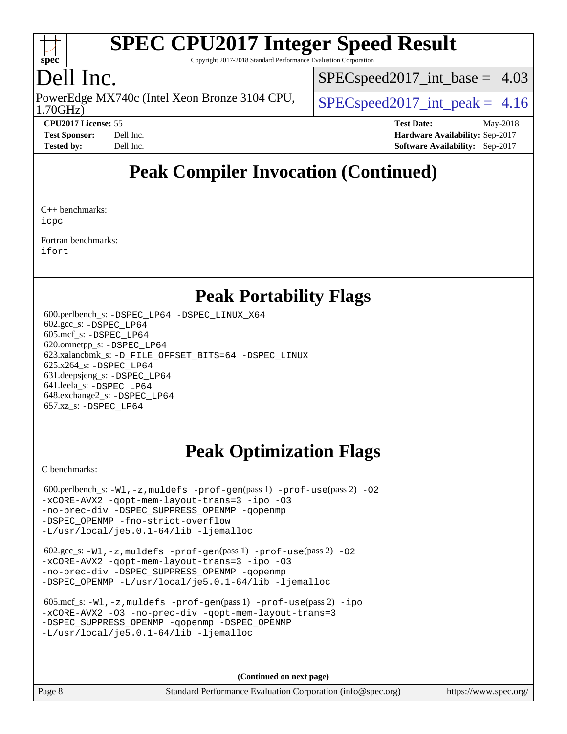

Copyright 2017-2018 Standard Performance Evaluation Corporation

## Dell Inc.

1.70GHz) PowerEdge MX740c (Intel Xeon Bronze 3104 CPU,  $\big|$  [SPECspeed2017\\_int\\_peak =](http://www.spec.org/auto/cpu2017/Docs/result-fields.html#SPECspeed2017intpeak) 4.16

 $SPECspeed2017\_int\_base = 4.03$ 

**[CPU2017 License:](http://www.spec.org/auto/cpu2017/Docs/result-fields.html#CPU2017License)** 55 **[Test Date:](http://www.spec.org/auto/cpu2017/Docs/result-fields.html#TestDate)** May-2018 **[Test Sponsor:](http://www.spec.org/auto/cpu2017/Docs/result-fields.html#TestSponsor)** Dell Inc. **[Hardware Availability:](http://www.spec.org/auto/cpu2017/Docs/result-fields.html#HardwareAvailability)** Sep-2017 **[Tested by:](http://www.spec.org/auto/cpu2017/Docs/result-fields.html#Testedby)** Dell Inc. **[Software Availability:](http://www.spec.org/auto/cpu2017/Docs/result-fields.html#SoftwareAvailability)** Sep-2017

## **[Peak Compiler Invocation \(Continued\)](http://www.spec.org/auto/cpu2017/Docs/result-fields.html#PeakCompilerInvocation)**

[C++ benchmarks:](http://www.spec.org/auto/cpu2017/Docs/result-fields.html#CXXbenchmarks) [icpc](http://www.spec.org/cpu2017/results/res2018q3/cpu2017-20180820-08590.flags.html#user_CXXpeak_intel_icpc_18.0_c510b6838c7f56d33e37e94d029a35b4a7bccf4766a728ee175e80a419847e808290a9b78be685c44ab727ea267ec2f070ec5dc83b407c0218cded6866a35d07)

[Fortran benchmarks](http://www.spec.org/auto/cpu2017/Docs/result-fields.html#Fortranbenchmarks): [ifort](http://www.spec.org/cpu2017/results/res2018q3/cpu2017-20180820-08590.flags.html#user_FCpeak_intel_ifort_18.0_8111460550e3ca792625aed983ce982f94888b8b503583aa7ba2b8303487b4d8a21a13e7191a45c5fd58ff318f48f9492884d4413fa793fd88dd292cad7027ca)

#### **[Peak Portability Flags](http://www.spec.org/auto/cpu2017/Docs/result-fields.html#PeakPortabilityFlags)**

 600.perlbench\_s: [-DSPEC\\_LP64](http://www.spec.org/cpu2017/results/res2018q3/cpu2017-20180820-08590.flags.html#b600.perlbench_s_peakPORTABILITY_DSPEC_LP64) [-DSPEC\\_LINUX\\_X64](http://www.spec.org/cpu2017/results/res2018q3/cpu2017-20180820-08590.flags.html#b600.perlbench_s_peakCPORTABILITY_DSPEC_LINUX_X64) 602.gcc\_s: [-DSPEC\\_LP64](http://www.spec.org/cpu2017/results/res2018q3/cpu2017-20180820-08590.flags.html#suite_peakPORTABILITY602_gcc_s_DSPEC_LP64) 605.mcf\_s: [-DSPEC\\_LP64](http://www.spec.org/cpu2017/results/res2018q3/cpu2017-20180820-08590.flags.html#suite_peakPORTABILITY605_mcf_s_DSPEC_LP64) 620.omnetpp\_s: [-DSPEC\\_LP64](http://www.spec.org/cpu2017/results/res2018q3/cpu2017-20180820-08590.flags.html#suite_peakPORTABILITY620_omnetpp_s_DSPEC_LP64) 623.xalancbmk\_s: [-D\\_FILE\\_OFFSET\\_BITS=64](http://www.spec.org/cpu2017/results/res2018q3/cpu2017-20180820-08590.flags.html#user_peakPORTABILITY623_xalancbmk_s_file_offset_bits_64_5ae949a99b284ddf4e95728d47cb0843d81b2eb0e18bdfe74bbf0f61d0b064f4bda2f10ea5eb90e1dcab0e84dbc592acfc5018bc955c18609f94ddb8d550002c) [-DSPEC\\_LINUX](http://www.spec.org/cpu2017/results/res2018q3/cpu2017-20180820-08590.flags.html#b623.xalancbmk_s_peakCXXPORTABILITY_DSPEC_LINUX) 625.x264\_s: [-DSPEC\\_LP64](http://www.spec.org/cpu2017/results/res2018q3/cpu2017-20180820-08590.flags.html#suite_peakPORTABILITY625_x264_s_DSPEC_LP64) 631.deepsjeng\_s: [-DSPEC\\_LP64](http://www.spec.org/cpu2017/results/res2018q3/cpu2017-20180820-08590.flags.html#suite_peakPORTABILITY631_deepsjeng_s_DSPEC_LP64) 641.leela\_s: [-DSPEC\\_LP64](http://www.spec.org/cpu2017/results/res2018q3/cpu2017-20180820-08590.flags.html#suite_peakPORTABILITY641_leela_s_DSPEC_LP64) 648.exchange2\_s: [-DSPEC\\_LP64](http://www.spec.org/cpu2017/results/res2018q3/cpu2017-20180820-08590.flags.html#suite_peakPORTABILITY648_exchange2_s_DSPEC_LP64) 657.xz\_s: [-DSPEC\\_LP64](http://www.spec.org/cpu2017/results/res2018q3/cpu2017-20180820-08590.flags.html#suite_peakPORTABILITY657_xz_s_DSPEC_LP64)

## **[Peak Optimization Flags](http://www.spec.org/auto/cpu2017/Docs/result-fields.html#PeakOptimizationFlags)**

[C benchmarks](http://www.spec.org/auto/cpu2017/Docs/result-fields.html#Cbenchmarks):

 $600.$ perlbench\_s:  $-W1$ ,  $-z$ , muldefs  $-prof-gen(pass 1)$  $-prof-gen(pass 1)$   $-prof-use(pass 2)$  $-prof-use(pass 2)$  [-O2](http://www.spec.org/cpu2017/results/res2018q3/cpu2017-20180820-08590.flags.html#user_peakPASS1_COPTIMIZE600_perlbench_s_f-O2) [-xCORE-AVX2](http://www.spec.org/cpu2017/results/res2018q3/cpu2017-20180820-08590.flags.html#user_peakPASS2_COPTIMIZE600_perlbench_s_f-xCORE-AVX2) [-qopt-mem-layout-trans=3](http://www.spec.org/cpu2017/results/res2018q3/cpu2017-20180820-08590.flags.html#user_peakPASS1_COPTIMIZEPASS2_COPTIMIZE600_perlbench_s_f-qopt-mem-layout-trans_de80db37974c74b1f0e20d883f0b675c88c3b01e9d123adea9b28688d64333345fb62bc4a798493513fdb68f60282f9a726aa07f478b2f7113531aecce732043) [-ipo](http://www.spec.org/cpu2017/results/res2018q3/cpu2017-20180820-08590.flags.html#user_peakPASS2_COPTIMIZE600_perlbench_s_f-ipo) [-O3](http://www.spec.org/cpu2017/results/res2018q3/cpu2017-20180820-08590.flags.html#user_peakPASS2_COPTIMIZE600_perlbench_s_f-O3) [-no-prec-div](http://www.spec.org/cpu2017/results/res2018q3/cpu2017-20180820-08590.flags.html#user_peakPASS2_COPTIMIZE600_perlbench_s_f-no-prec-div) [-DSPEC\\_SUPPRESS\\_OPENMP](http://www.spec.org/cpu2017/results/res2018q3/cpu2017-20180820-08590.flags.html#suite_peakPASS1_COPTIMIZE600_perlbench_s_DSPEC_SUPPRESS_OPENMP) [-qopenmp](http://www.spec.org/cpu2017/results/res2018q3/cpu2017-20180820-08590.flags.html#user_peakPASS2_COPTIMIZE600_perlbench_s_qopenmp_16be0c44f24f464004c6784a7acb94aca937f053568ce72f94b139a11c7c168634a55f6653758ddd83bcf7b8463e8028bb0b48b77bcddc6b78d5d95bb1df2967) [-DSPEC\\_OPENMP](http://www.spec.org/cpu2017/results/res2018q3/cpu2017-20180820-08590.flags.html#suite_peakPASS2_COPTIMIZE600_perlbench_s_DSPEC_OPENMP) [-fno-strict-overflow](http://www.spec.org/cpu2017/results/res2018q3/cpu2017-20180820-08590.flags.html#user_peakEXTRA_OPTIMIZE600_perlbench_s_f-fno-strict-overflow) [-L/usr/local/je5.0.1-64/lib](http://www.spec.org/cpu2017/results/res2018q3/cpu2017-20180820-08590.flags.html#user_peakEXTRA_LIBS600_perlbench_s_jemalloc_link_path64_4b10a636b7bce113509b17f3bd0d6226c5fb2346b9178c2d0232c14f04ab830f976640479e5c33dc2bcbbdad86ecfb6634cbbd4418746f06f368b512fced5394) [-ljemalloc](http://www.spec.org/cpu2017/results/res2018q3/cpu2017-20180820-08590.flags.html#user_peakEXTRA_LIBS600_perlbench_s_jemalloc_link_lib_d1249b907c500fa1c0672f44f562e3d0f79738ae9e3c4a9c376d49f265a04b9c99b167ecedbf6711b3085be911c67ff61f150a17b3472be731631ba4d0471706)

 602.gcc\_s: [-Wl,-z,muldefs](http://www.spec.org/cpu2017/results/res2018q3/cpu2017-20180820-08590.flags.html#user_peakEXTRA_LDFLAGS602_gcc_s_link_force_multiple1_b4cbdb97b34bdee9ceefcfe54f4c8ea74255f0b02a4b23e853cdb0e18eb4525ac79b5a88067c842dd0ee6996c24547a27a4b99331201badda8798ef8a743f577) [-prof-gen](http://www.spec.org/cpu2017/results/res2018q3/cpu2017-20180820-08590.flags.html#user_peakPASS1_CFLAGSPASS1_LDFLAGS602_gcc_s_prof_gen_5aa4926d6013ddb2a31985c654b3eb18169fc0c6952a63635c234f711e6e63dd76e94ad52365559451ec499a2cdb89e4dc58ba4c67ef54ca681ffbe1461d6b36)(pass 1) [-prof-use](http://www.spec.org/cpu2017/results/res2018q3/cpu2017-20180820-08590.flags.html#user_peakPASS2_CFLAGSPASS2_LDFLAGS602_gcc_s_prof_use_1a21ceae95f36a2b53c25747139a6c16ca95bd9def2a207b4f0849963b97e94f5260e30a0c64f4bb623698870e679ca08317ef8150905d41bd88c6f78df73f19)(pass 2) [-O2](http://www.spec.org/cpu2017/results/res2018q3/cpu2017-20180820-08590.flags.html#user_peakPASS1_COPTIMIZE602_gcc_s_f-O2) [-xCORE-AVX2](http://www.spec.org/cpu2017/results/res2018q3/cpu2017-20180820-08590.flags.html#user_peakPASS2_COPTIMIZE602_gcc_s_f-xCORE-AVX2) [-qopt-mem-layout-trans=3](http://www.spec.org/cpu2017/results/res2018q3/cpu2017-20180820-08590.flags.html#user_peakPASS1_COPTIMIZEPASS2_COPTIMIZE602_gcc_s_f-qopt-mem-layout-trans_de80db37974c74b1f0e20d883f0b675c88c3b01e9d123adea9b28688d64333345fb62bc4a798493513fdb68f60282f9a726aa07f478b2f7113531aecce732043) [-ipo](http://www.spec.org/cpu2017/results/res2018q3/cpu2017-20180820-08590.flags.html#user_peakPASS2_COPTIMIZE602_gcc_s_f-ipo) [-O3](http://www.spec.org/cpu2017/results/res2018q3/cpu2017-20180820-08590.flags.html#user_peakPASS2_COPTIMIZE602_gcc_s_f-O3) [-no-prec-div](http://www.spec.org/cpu2017/results/res2018q3/cpu2017-20180820-08590.flags.html#user_peakPASS2_COPTIMIZE602_gcc_s_f-no-prec-div) [-DSPEC\\_SUPPRESS\\_OPENMP](http://www.spec.org/cpu2017/results/res2018q3/cpu2017-20180820-08590.flags.html#suite_peakPASS1_COPTIMIZE602_gcc_s_DSPEC_SUPPRESS_OPENMP) [-qopenmp](http://www.spec.org/cpu2017/results/res2018q3/cpu2017-20180820-08590.flags.html#user_peakPASS2_COPTIMIZE602_gcc_s_qopenmp_16be0c44f24f464004c6784a7acb94aca937f053568ce72f94b139a11c7c168634a55f6653758ddd83bcf7b8463e8028bb0b48b77bcddc6b78d5d95bb1df2967) [-DSPEC\\_OPENMP](http://www.spec.org/cpu2017/results/res2018q3/cpu2017-20180820-08590.flags.html#suite_peakPASS2_COPTIMIZE602_gcc_s_DSPEC_OPENMP) [-L/usr/local/je5.0.1-64/lib](http://www.spec.org/cpu2017/results/res2018q3/cpu2017-20180820-08590.flags.html#user_peakEXTRA_LIBS602_gcc_s_jemalloc_link_path64_4b10a636b7bce113509b17f3bd0d6226c5fb2346b9178c2d0232c14f04ab830f976640479e5c33dc2bcbbdad86ecfb6634cbbd4418746f06f368b512fced5394) [-ljemalloc](http://www.spec.org/cpu2017/results/res2018q3/cpu2017-20180820-08590.flags.html#user_peakEXTRA_LIBS602_gcc_s_jemalloc_link_lib_d1249b907c500fa1c0672f44f562e3d0f79738ae9e3c4a9c376d49f265a04b9c99b167ecedbf6711b3085be911c67ff61f150a17b3472be731631ba4d0471706)

 605.mcf\_s: [-Wl,-z,muldefs](http://www.spec.org/cpu2017/results/res2018q3/cpu2017-20180820-08590.flags.html#user_peakEXTRA_LDFLAGS605_mcf_s_link_force_multiple1_b4cbdb97b34bdee9ceefcfe54f4c8ea74255f0b02a4b23e853cdb0e18eb4525ac79b5a88067c842dd0ee6996c24547a27a4b99331201badda8798ef8a743f577) [-prof-gen](http://www.spec.org/cpu2017/results/res2018q3/cpu2017-20180820-08590.flags.html#user_peakPASS1_CFLAGSPASS1_LDFLAGS605_mcf_s_prof_gen_5aa4926d6013ddb2a31985c654b3eb18169fc0c6952a63635c234f711e6e63dd76e94ad52365559451ec499a2cdb89e4dc58ba4c67ef54ca681ffbe1461d6b36)(pass 1) [-prof-use](http://www.spec.org/cpu2017/results/res2018q3/cpu2017-20180820-08590.flags.html#user_peakPASS2_CFLAGSPASS2_LDFLAGS605_mcf_s_prof_use_1a21ceae95f36a2b53c25747139a6c16ca95bd9def2a207b4f0849963b97e94f5260e30a0c64f4bb623698870e679ca08317ef8150905d41bd88c6f78df73f19)(pass 2) [-ipo](http://www.spec.org/cpu2017/results/res2018q3/cpu2017-20180820-08590.flags.html#user_peakPASS1_COPTIMIZEPASS2_COPTIMIZE605_mcf_s_f-ipo) [-xCORE-AVX2](http://www.spec.org/cpu2017/results/res2018q3/cpu2017-20180820-08590.flags.html#user_peakPASS2_COPTIMIZE605_mcf_s_f-xCORE-AVX2) [-O3](http://www.spec.org/cpu2017/results/res2018q3/cpu2017-20180820-08590.flags.html#user_peakPASS1_COPTIMIZEPASS2_COPTIMIZE605_mcf_s_f-O3) [-no-prec-div](http://www.spec.org/cpu2017/results/res2018q3/cpu2017-20180820-08590.flags.html#user_peakPASS1_COPTIMIZEPASS2_COPTIMIZE605_mcf_s_f-no-prec-div) [-qopt-mem-layout-trans=3](http://www.spec.org/cpu2017/results/res2018q3/cpu2017-20180820-08590.flags.html#user_peakPASS1_COPTIMIZEPASS2_COPTIMIZE605_mcf_s_f-qopt-mem-layout-trans_de80db37974c74b1f0e20d883f0b675c88c3b01e9d123adea9b28688d64333345fb62bc4a798493513fdb68f60282f9a726aa07f478b2f7113531aecce732043) [-DSPEC\\_SUPPRESS\\_OPENMP](http://www.spec.org/cpu2017/results/res2018q3/cpu2017-20180820-08590.flags.html#suite_peakPASS1_COPTIMIZE605_mcf_s_DSPEC_SUPPRESS_OPENMP) [-qopenmp](http://www.spec.org/cpu2017/results/res2018q3/cpu2017-20180820-08590.flags.html#user_peakPASS2_COPTIMIZE605_mcf_s_qopenmp_16be0c44f24f464004c6784a7acb94aca937f053568ce72f94b139a11c7c168634a55f6653758ddd83bcf7b8463e8028bb0b48b77bcddc6b78d5d95bb1df2967) [-DSPEC\\_OPENMP](http://www.spec.org/cpu2017/results/res2018q3/cpu2017-20180820-08590.flags.html#suite_peakPASS2_COPTIMIZE605_mcf_s_DSPEC_OPENMP) [-L/usr/local/je5.0.1-64/lib](http://www.spec.org/cpu2017/results/res2018q3/cpu2017-20180820-08590.flags.html#user_peakEXTRA_LIBS605_mcf_s_jemalloc_link_path64_4b10a636b7bce113509b17f3bd0d6226c5fb2346b9178c2d0232c14f04ab830f976640479e5c33dc2bcbbdad86ecfb6634cbbd4418746f06f368b512fced5394) [-ljemalloc](http://www.spec.org/cpu2017/results/res2018q3/cpu2017-20180820-08590.flags.html#user_peakEXTRA_LIBS605_mcf_s_jemalloc_link_lib_d1249b907c500fa1c0672f44f562e3d0f79738ae9e3c4a9c376d49f265a04b9c99b167ecedbf6711b3085be911c67ff61f150a17b3472be731631ba4d0471706)

**(Continued on next page)**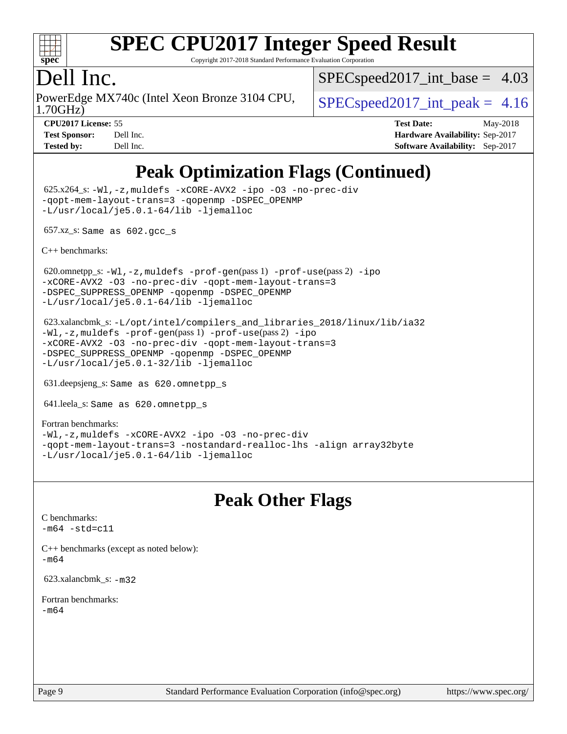

Copyright 2017-2018 Standard Performance Evaluation Corporation

#### Dell Inc.

1.70GHz) PowerEdge MX740c (Intel Xeon Bronze 3104 CPU,  $\big|$  [SPECspeed2017\\_int\\_peak =](http://www.spec.org/auto/cpu2017/Docs/result-fields.html#SPECspeed2017intpeak) 4.16

 $SPECspeed2017\_int\_base = 4.03$ 

**[CPU2017 License:](http://www.spec.org/auto/cpu2017/Docs/result-fields.html#CPU2017License)** 55 **[Test Date:](http://www.spec.org/auto/cpu2017/Docs/result-fields.html#TestDate)** May-2018 **[Test Sponsor:](http://www.spec.org/auto/cpu2017/Docs/result-fields.html#TestSponsor)** Dell Inc. **[Hardware Availability:](http://www.spec.org/auto/cpu2017/Docs/result-fields.html#HardwareAvailability)** Sep-2017 **[Tested by:](http://www.spec.org/auto/cpu2017/Docs/result-fields.html#Testedby)** Dell Inc. **[Software Availability:](http://www.spec.org/auto/cpu2017/Docs/result-fields.html#SoftwareAvailability)** Sep-2017

## **[Peak Optimization Flags \(Continued\)](http://www.spec.org/auto/cpu2017/Docs/result-fields.html#PeakOptimizationFlags)**

 625.x264\_s: [-Wl,-z,muldefs](http://www.spec.org/cpu2017/results/res2018q3/cpu2017-20180820-08590.flags.html#user_peakEXTRA_LDFLAGS625_x264_s_link_force_multiple1_b4cbdb97b34bdee9ceefcfe54f4c8ea74255f0b02a4b23e853cdb0e18eb4525ac79b5a88067c842dd0ee6996c24547a27a4b99331201badda8798ef8a743f577) [-xCORE-AVX2](http://www.spec.org/cpu2017/results/res2018q3/cpu2017-20180820-08590.flags.html#user_peakCOPTIMIZE625_x264_s_f-xCORE-AVX2) [-ipo](http://www.spec.org/cpu2017/results/res2018q3/cpu2017-20180820-08590.flags.html#user_peakCOPTIMIZE625_x264_s_f-ipo) [-O3](http://www.spec.org/cpu2017/results/res2018q3/cpu2017-20180820-08590.flags.html#user_peakCOPTIMIZE625_x264_s_f-O3) [-no-prec-div](http://www.spec.org/cpu2017/results/res2018q3/cpu2017-20180820-08590.flags.html#user_peakCOPTIMIZE625_x264_s_f-no-prec-div) [-qopt-mem-layout-trans=3](http://www.spec.org/cpu2017/results/res2018q3/cpu2017-20180820-08590.flags.html#user_peakCOPTIMIZE625_x264_s_f-qopt-mem-layout-trans_de80db37974c74b1f0e20d883f0b675c88c3b01e9d123adea9b28688d64333345fb62bc4a798493513fdb68f60282f9a726aa07f478b2f7113531aecce732043) [-qopenmp](http://www.spec.org/cpu2017/results/res2018q3/cpu2017-20180820-08590.flags.html#user_peakCOPTIMIZE625_x264_s_qopenmp_16be0c44f24f464004c6784a7acb94aca937f053568ce72f94b139a11c7c168634a55f6653758ddd83bcf7b8463e8028bb0b48b77bcddc6b78d5d95bb1df2967) [-DSPEC\\_OPENMP](http://www.spec.org/cpu2017/results/res2018q3/cpu2017-20180820-08590.flags.html#suite_peakCOPTIMIZE625_x264_s_DSPEC_OPENMP) [-L/usr/local/je5.0.1-64/lib](http://www.spec.org/cpu2017/results/res2018q3/cpu2017-20180820-08590.flags.html#user_peakEXTRA_LIBS625_x264_s_jemalloc_link_path64_4b10a636b7bce113509b17f3bd0d6226c5fb2346b9178c2d0232c14f04ab830f976640479e5c33dc2bcbbdad86ecfb6634cbbd4418746f06f368b512fced5394) [-ljemalloc](http://www.spec.org/cpu2017/results/res2018q3/cpu2017-20180820-08590.flags.html#user_peakEXTRA_LIBS625_x264_s_jemalloc_link_lib_d1249b907c500fa1c0672f44f562e3d0f79738ae9e3c4a9c376d49f265a04b9c99b167ecedbf6711b3085be911c67ff61f150a17b3472be731631ba4d0471706)

657.xz\_s: Same as 602.gcc\_s

[C++ benchmarks:](http://www.spec.org/auto/cpu2017/Docs/result-fields.html#CXXbenchmarks)

620.omnetpp\_s: $-W1$ ,-z,muldefs -prof-qen(pass 1) [-prof-use](http://www.spec.org/cpu2017/results/res2018q3/cpu2017-20180820-08590.flags.html#user_peakPASS2_CXXFLAGSPASS2_LDFLAGS620_omnetpp_s_prof_use_1a21ceae95f36a2b53c25747139a6c16ca95bd9def2a207b4f0849963b97e94f5260e30a0c64f4bb623698870e679ca08317ef8150905d41bd88c6f78df73f19)(pass 2) [-ipo](http://www.spec.org/cpu2017/results/res2018q3/cpu2017-20180820-08590.flags.html#user_peakPASS1_CXXOPTIMIZEPASS2_CXXOPTIMIZE620_omnetpp_s_f-ipo) [-xCORE-AVX2](http://www.spec.org/cpu2017/results/res2018q3/cpu2017-20180820-08590.flags.html#user_peakPASS2_CXXOPTIMIZE620_omnetpp_s_f-xCORE-AVX2) [-O3](http://www.spec.org/cpu2017/results/res2018q3/cpu2017-20180820-08590.flags.html#user_peakPASS1_CXXOPTIMIZEPASS2_CXXOPTIMIZE620_omnetpp_s_f-O3) [-no-prec-div](http://www.spec.org/cpu2017/results/res2018q3/cpu2017-20180820-08590.flags.html#user_peakPASS1_CXXOPTIMIZEPASS2_CXXOPTIMIZE620_omnetpp_s_f-no-prec-div) [-qopt-mem-layout-trans=3](http://www.spec.org/cpu2017/results/res2018q3/cpu2017-20180820-08590.flags.html#user_peakPASS1_CXXOPTIMIZEPASS2_CXXOPTIMIZE620_omnetpp_s_f-qopt-mem-layout-trans_de80db37974c74b1f0e20d883f0b675c88c3b01e9d123adea9b28688d64333345fb62bc4a798493513fdb68f60282f9a726aa07f478b2f7113531aecce732043) [-DSPEC\\_SUPPRESS\\_OPENMP](http://www.spec.org/cpu2017/results/res2018q3/cpu2017-20180820-08590.flags.html#suite_peakPASS1_CXXOPTIMIZE620_omnetpp_s_DSPEC_SUPPRESS_OPENMP) [-qopenmp](http://www.spec.org/cpu2017/results/res2018q3/cpu2017-20180820-08590.flags.html#user_peakPASS2_CXXOPTIMIZE620_omnetpp_s_qopenmp_16be0c44f24f464004c6784a7acb94aca937f053568ce72f94b139a11c7c168634a55f6653758ddd83bcf7b8463e8028bb0b48b77bcddc6b78d5d95bb1df2967) [-DSPEC\\_OPENMP](http://www.spec.org/cpu2017/results/res2018q3/cpu2017-20180820-08590.flags.html#suite_peakPASS2_CXXOPTIMIZE620_omnetpp_s_DSPEC_OPENMP) [-L/usr/local/je5.0.1-64/lib](http://www.spec.org/cpu2017/results/res2018q3/cpu2017-20180820-08590.flags.html#user_peakEXTRA_LIBS620_omnetpp_s_jemalloc_link_path64_4b10a636b7bce113509b17f3bd0d6226c5fb2346b9178c2d0232c14f04ab830f976640479e5c33dc2bcbbdad86ecfb6634cbbd4418746f06f368b512fced5394) [-ljemalloc](http://www.spec.org/cpu2017/results/res2018q3/cpu2017-20180820-08590.flags.html#user_peakEXTRA_LIBS620_omnetpp_s_jemalloc_link_lib_d1249b907c500fa1c0672f44f562e3d0f79738ae9e3c4a9c376d49f265a04b9c99b167ecedbf6711b3085be911c67ff61f150a17b3472be731631ba4d0471706)

 623.xalancbmk\_s: [-L/opt/intel/compilers\\_and\\_libraries\\_2018/linux/lib/ia32](http://www.spec.org/cpu2017/results/res2018q3/cpu2017-20180820-08590.flags.html#user_peakCXXLD623_xalancbmk_s_Enable-32bit-runtime_af243bdb1d79e4c7a4f720bf8275e627de2ecd461de63307bc14cef0633fde3cd7bb2facb32dcc8be9566045fb55d40ce2b72b725f73827aa7833441b71b9343) [-Wl,-z,muldefs](http://www.spec.org/cpu2017/results/res2018q3/cpu2017-20180820-08590.flags.html#user_peakEXTRA_LDFLAGS623_xalancbmk_s_link_force_multiple1_b4cbdb97b34bdee9ceefcfe54f4c8ea74255f0b02a4b23e853cdb0e18eb4525ac79b5a88067c842dd0ee6996c24547a27a4b99331201badda8798ef8a743f577) [-prof-gen](http://www.spec.org/cpu2017/results/res2018q3/cpu2017-20180820-08590.flags.html#user_peakPASS1_CXXFLAGSPASS1_LDFLAGS623_xalancbmk_s_prof_gen_5aa4926d6013ddb2a31985c654b3eb18169fc0c6952a63635c234f711e6e63dd76e94ad52365559451ec499a2cdb89e4dc58ba4c67ef54ca681ffbe1461d6b36)(pass 1) [-prof-use](http://www.spec.org/cpu2017/results/res2018q3/cpu2017-20180820-08590.flags.html#user_peakPASS2_CXXFLAGSPASS2_LDFLAGS623_xalancbmk_s_prof_use_1a21ceae95f36a2b53c25747139a6c16ca95bd9def2a207b4f0849963b97e94f5260e30a0c64f4bb623698870e679ca08317ef8150905d41bd88c6f78df73f19)(pass 2) [-ipo](http://www.spec.org/cpu2017/results/res2018q3/cpu2017-20180820-08590.flags.html#user_peakPASS1_CXXOPTIMIZEPASS2_CXXOPTIMIZE623_xalancbmk_s_f-ipo) [-xCORE-AVX2](http://www.spec.org/cpu2017/results/res2018q3/cpu2017-20180820-08590.flags.html#user_peakPASS2_CXXOPTIMIZE623_xalancbmk_s_f-xCORE-AVX2) [-O3](http://www.spec.org/cpu2017/results/res2018q3/cpu2017-20180820-08590.flags.html#user_peakPASS1_CXXOPTIMIZEPASS2_CXXOPTIMIZE623_xalancbmk_s_f-O3) [-no-prec-div](http://www.spec.org/cpu2017/results/res2018q3/cpu2017-20180820-08590.flags.html#user_peakPASS1_CXXOPTIMIZEPASS2_CXXOPTIMIZE623_xalancbmk_s_f-no-prec-div) [-qopt-mem-layout-trans=3](http://www.spec.org/cpu2017/results/res2018q3/cpu2017-20180820-08590.flags.html#user_peakPASS1_CXXOPTIMIZEPASS2_CXXOPTIMIZE623_xalancbmk_s_f-qopt-mem-layout-trans_de80db37974c74b1f0e20d883f0b675c88c3b01e9d123adea9b28688d64333345fb62bc4a798493513fdb68f60282f9a726aa07f478b2f7113531aecce732043) [-DSPEC\\_SUPPRESS\\_OPENMP](http://www.spec.org/cpu2017/results/res2018q3/cpu2017-20180820-08590.flags.html#suite_peakPASS1_CXXOPTIMIZE623_xalancbmk_s_DSPEC_SUPPRESS_OPENMP) [-qopenmp](http://www.spec.org/cpu2017/results/res2018q3/cpu2017-20180820-08590.flags.html#user_peakPASS2_CXXOPTIMIZE623_xalancbmk_s_qopenmp_16be0c44f24f464004c6784a7acb94aca937f053568ce72f94b139a11c7c168634a55f6653758ddd83bcf7b8463e8028bb0b48b77bcddc6b78d5d95bb1df2967) [-DSPEC\\_OPENMP](http://www.spec.org/cpu2017/results/res2018q3/cpu2017-20180820-08590.flags.html#suite_peakPASS2_CXXOPTIMIZE623_xalancbmk_s_DSPEC_OPENMP) [-L/usr/local/je5.0.1-32/lib](http://www.spec.org/cpu2017/results/res2018q3/cpu2017-20180820-08590.flags.html#user_peakEXTRA_LIBS623_xalancbmk_s_jemalloc_link_path32_e29f22e8e6c17053bbc6a0971f5a9c01a601a06bb1a59df2084b77a2fe0a2995b64fd4256feaeea39eeba3aae142e96e2b2b0a28974019c0c0c88139a84f900a) [-ljemalloc](http://www.spec.org/cpu2017/results/res2018q3/cpu2017-20180820-08590.flags.html#user_peakEXTRA_LIBS623_xalancbmk_s_jemalloc_link_lib_d1249b907c500fa1c0672f44f562e3d0f79738ae9e3c4a9c376d49f265a04b9c99b167ecedbf6711b3085be911c67ff61f150a17b3472be731631ba4d0471706)

631.deepsjeng\_s: Same as 620.omnetpp\_s

641.leela\_s: Same as 620.omnetpp\_s

[Fortran benchmarks](http://www.spec.org/auto/cpu2017/Docs/result-fields.html#Fortranbenchmarks): [-Wl,-z,muldefs](http://www.spec.org/cpu2017/results/res2018q3/cpu2017-20180820-08590.flags.html#user_FCpeak_link_force_multiple1_b4cbdb97b34bdee9ceefcfe54f4c8ea74255f0b02a4b23e853cdb0e18eb4525ac79b5a88067c842dd0ee6996c24547a27a4b99331201badda8798ef8a743f577) [-xCORE-AVX2](http://www.spec.org/cpu2017/results/res2018q3/cpu2017-20180820-08590.flags.html#user_FCpeak_f-xCORE-AVX2) [-ipo](http://www.spec.org/cpu2017/results/res2018q3/cpu2017-20180820-08590.flags.html#user_FCpeak_f-ipo) [-O3](http://www.spec.org/cpu2017/results/res2018q3/cpu2017-20180820-08590.flags.html#user_FCpeak_f-O3) [-no-prec-div](http://www.spec.org/cpu2017/results/res2018q3/cpu2017-20180820-08590.flags.html#user_FCpeak_f-no-prec-div) [-qopt-mem-layout-trans=3](http://www.spec.org/cpu2017/results/res2018q3/cpu2017-20180820-08590.flags.html#user_FCpeak_f-qopt-mem-layout-trans_de80db37974c74b1f0e20d883f0b675c88c3b01e9d123adea9b28688d64333345fb62bc4a798493513fdb68f60282f9a726aa07f478b2f7113531aecce732043) [-nostandard-realloc-lhs](http://www.spec.org/cpu2017/results/res2018q3/cpu2017-20180820-08590.flags.html#user_FCpeak_f_2003_std_realloc_82b4557e90729c0f113870c07e44d33d6f5a304b4f63d4c15d2d0f1fab99f5daaed73bdb9275d9ae411527f28b936061aa8b9c8f2d63842963b95c9dd6426b8a) [-align array32byte](http://www.spec.org/cpu2017/results/res2018q3/cpu2017-20180820-08590.flags.html#user_FCpeak_align_array32byte_b982fe038af199962ba9a80c053b8342c548c85b40b8e86eb3cc33dee0d7986a4af373ac2d51c3f7cf710a18d62fdce2948f201cd044323541f22fc0fffc51b6) [-L/usr/local/je5.0.1-64/lib](http://www.spec.org/cpu2017/results/res2018q3/cpu2017-20180820-08590.flags.html#user_FCpeak_jemalloc_link_path64_4b10a636b7bce113509b17f3bd0d6226c5fb2346b9178c2d0232c14f04ab830f976640479e5c33dc2bcbbdad86ecfb6634cbbd4418746f06f368b512fced5394) [-ljemalloc](http://www.spec.org/cpu2017/results/res2018q3/cpu2017-20180820-08590.flags.html#user_FCpeak_jemalloc_link_lib_d1249b907c500fa1c0672f44f562e3d0f79738ae9e3c4a9c376d49f265a04b9c99b167ecedbf6711b3085be911c67ff61f150a17b3472be731631ba4d0471706)

#### **[Peak Other Flags](http://www.spec.org/auto/cpu2017/Docs/result-fields.html#PeakOtherFlags)**

[C benchmarks](http://www.spec.org/auto/cpu2017/Docs/result-fields.html#Cbenchmarks):  $-m64 - std= c11$  $-m64 - std= c11$ [C++ benchmarks \(except as noted below\):](http://www.spec.org/auto/cpu2017/Docs/result-fields.html#CXXbenchmarksexceptasnotedbelow)

[-m64](http://www.spec.org/cpu2017/results/res2018q3/cpu2017-20180820-08590.flags.html#user_CXXpeak_intel_intel64_18.0_af43caccfc8ded86e7699f2159af6efc7655f51387b94da716254467f3c01020a5059329e2569e4053f409e7c9202a7efc638f7a6d1ffb3f52dea4a3e31d82ab)

623.xalancbmk\_s: [-m32](http://www.spec.org/cpu2017/results/res2018q3/cpu2017-20180820-08590.flags.html#user_peakCXXLD623_xalancbmk_s_intel_ia32_18.0_2666f1173eb60787016b673bfe1358e27016ef7649ea4884b7bc6187fd89dc221d14632e22638cde1c647a518de97358ab15d4ad098ee4e19a8b28d0c25e14bf)

[Fortran benchmarks](http://www.spec.org/auto/cpu2017/Docs/result-fields.html#Fortranbenchmarks): [-m64](http://www.spec.org/cpu2017/results/res2018q3/cpu2017-20180820-08590.flags.html#user_FCpeak_intel_intel64_18.0_af43caccfc8ded86e7699f2159af6efc7655f51387b94da716254467f3c01020a5059329e2569e4053f409e7c9202a7efc638f7a6d1ffb3f52dea4a3e31d82ab)